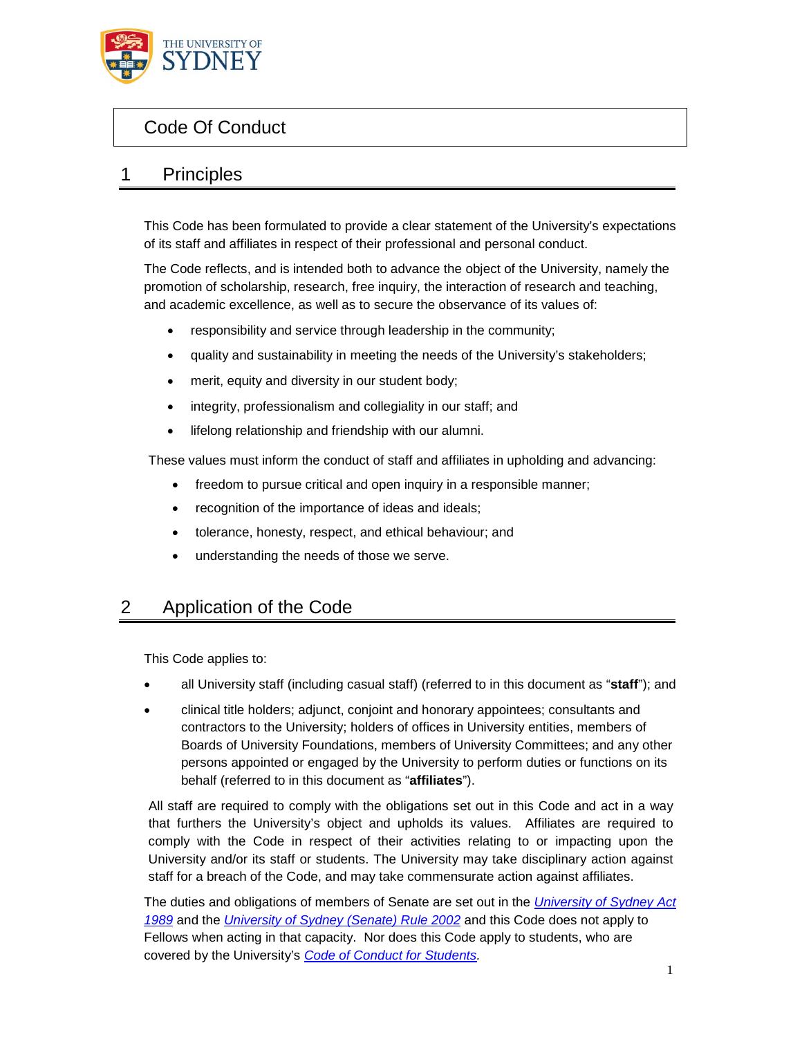

# Code Of Conduct

### 1 Principles

This Code has been formulated to provide a clear statement of the University's expectations of its staff and affiliates in respect of their professional and personal conduct.

The Code reflects, and is intended both to advance the object of the University, namely the promotion of scholarship, research, free inquiry, the interaction of research and teaching, and academic excellence, as well as to secure the observance of its values of:

- responsibility and service through leadership in the community;
- quality and sustainability in meeting the needs of the University's stakeholders;
- merit, equity and diversity in our student body;
- integrity, professionalism and collegiality in our staff; and
- lifelong relationship and friendship with our alumni.

These values must inform the conduct of staff and affiliates in upholding and advancing:

- freedom to pursue critical and open inquiry in a responsible manner;
- recognition of the importance of ideas and ideals;
- tolerance, honesty, respect, and ethical behaviour; and
- understanding the needs of those we serve.

### 2 Application of the Code

This Code applies to:

- all University staff (including casual staff) (referred to in this document as "**staff**"); and
- clinical title holders; adjunct, conjoint and honorary appointees; consultants and contractors to the University; holders of offices in University entities, members of Boards of University Foundations, members of University Committees; and any other persons appointed or engaged by the University to perform duties or functions on its behalf (referred to in this document as "**affiliates**").

All staff are required to comply with the obligations set out in this Code and act in a way that furthers the University's object and upholds its values. Affiliates are required to comply with the Code in respect of their activities relating to or impacting upon the University and/or its staff or students. The University may take disciplinary action against staff for a breach of the Code, and may take commensurate action against affiliates.

The duties and obligations of members of Senate are set out in the *University of Sydney Act 1989* and the *University of Sydney (Senate) Rule 2002* and this Code does not apply to Fellows when acting in that capacity. Nor does this Code apply to students, who are covered by the University's *Code of Conduct for Students.*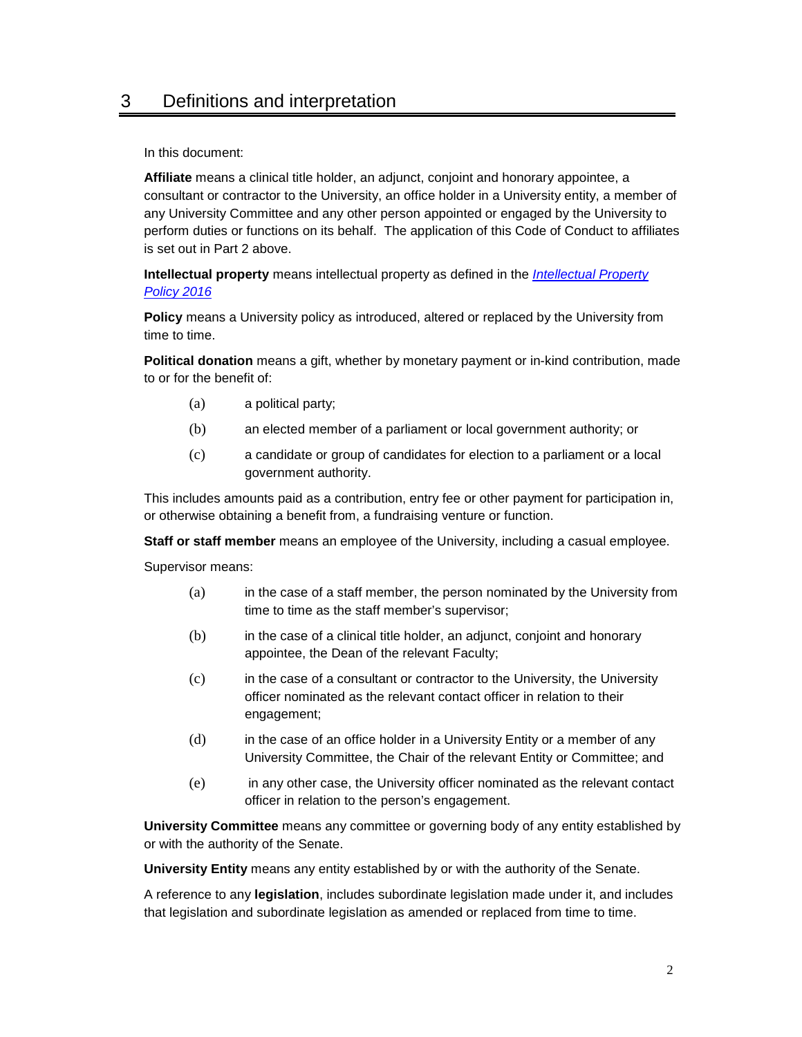## 3 Definitions and interpretation

In this document:

**Affiliate** means a clinical title holder, an adjunct, conjoint and honorary appointee, a consultant or contractor to the University, an office holder in a University entity, a member of any University Committee and any other person appointed or engaged by the University to perform duties or functions on its behalf. The application of this Code of Conduct to affiliates is set out in Part 2 above.

**Intellectual property** means intellectual property as defined in the *Intellectual Property Policy 2016*

**Policy** means a University policy as introduced, altered or replaced by the University from time to time.

**Political donation** means a gift, whether by monetary payment or in-kind contribution, made to or for the benefit of:

- (a) a political party;
- (b) an elected member of a parliament or local government authority; or
- (c) a candidate or group of candidates for election to a parliament or a local government authority.

This includes amounts paid as a contribution, entry fee or other payment for participation in, or otherwise obtaining a benefit from, a fundraising venture or function.

**Staff or staff member** means an employee of the University, including a casual employee.

Supervisor means:

- (a) in the case of a staff member, the person nominated by the University from time to time as the staff member's supervisor;
- (b) in the case of a clinical title holder, an adjunct, conjoint and honorary appointee, the Dean of the relevant Faculty;
- (c) in the case of a consultant or contractor to the University, the University officer nominated as the relevant contact officer in relation to their engagement;
- (d) in the case of an office holder in a University Entity or a member of any University Committee, the Chair of the relevant Entity or Committee; and
- (e) in any other case, the University officer nominated as the relevant contact officer in relation to the person's engagement.

**University Committee** means any committee or governing body of any entity established by or with the authority of the Senate.

**University Entity** means any entity established by or with the authority of the Senate.

A reference to any **legislation**, includes subordinate legislation made under it, and includes that legislation and subordinate legislation as amended or replaced from time to time.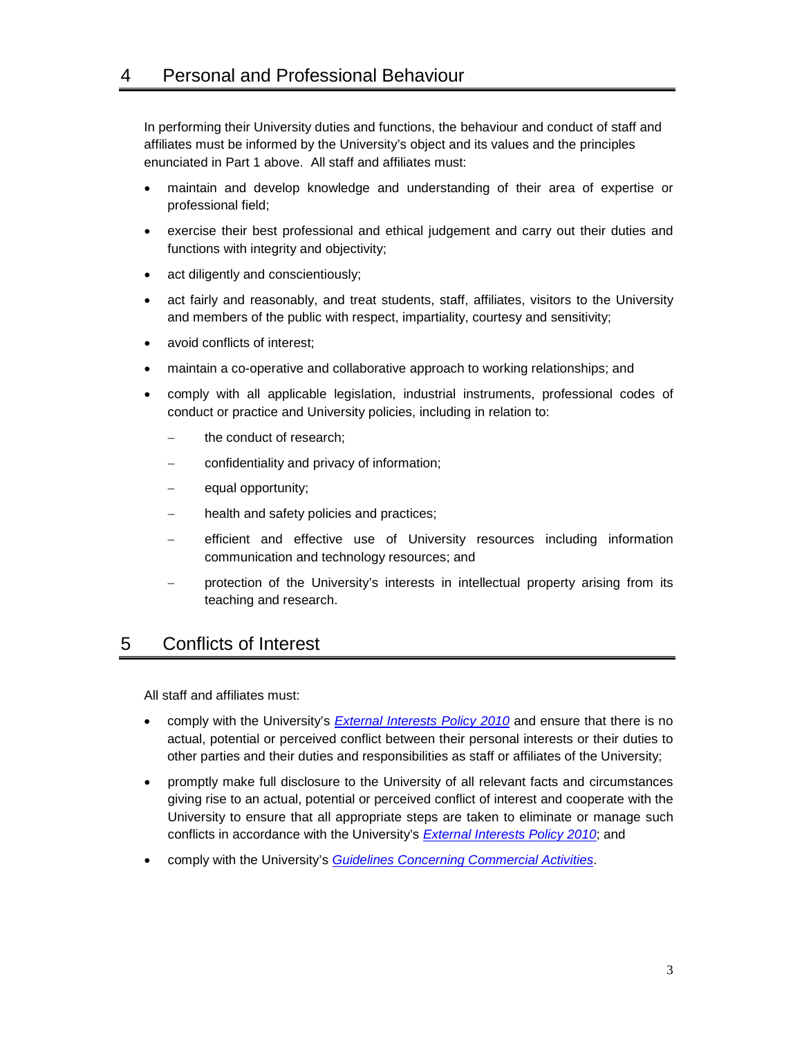In performing their University duties and functions, the behaviour and conduct of staff and affiliates must be informed by the University's object and its values and the principles enunciated in Part 1 above. All staff and affiliates must:

- maintain and develop knowledge and understanding of their area of expertise or professional field;
- exercise their best professional and ethical judgement and carry out their duties and functions with integrity and objectivity;
- act diligently and conscientiously;
- act fairly and reasonably, and treat students, staff, affiliates, visitors to the University and members of the public with respect, impartiality, courtesy and sensitivity;
- avoid conflicts of interest:
- maintain a co-operative and collaborative approach to working relationships; and
- comply with all applicable legislation, industrial instruments, professional codes of conduct or practice and University policies, including in relation to:
	- the conduct of research;
	- confidentiality and privacy of information;
	- equal opportunity;
	- health and safety policies and practices;
	- efficient and effective use of University resources including information communication and technology resources; and
	- protection of the University's interests in intellectual property arising from its teaching and research.

### 5 Conflicts of Interest

All staff and affiliates must:

- comply with the University's *External Interests Policy 2010* and ensure that there is no actual, potential or perceived conflict between their personal interests or their duties to other parties and their duties and responsibilities as staff or affiliates of the University;
- promptly make full disclosure to the University of all relevant facts and circumstances giving rise to an actual, potential or perceived conflict of interest and cooperate with the University to ensure that all appropriate steps are taken to eliminate or manage such conflicts in accordance with the University's *External Interests Policy 2010*; and
- comply with the University's *Guidelines Concerning Commercial Activities*.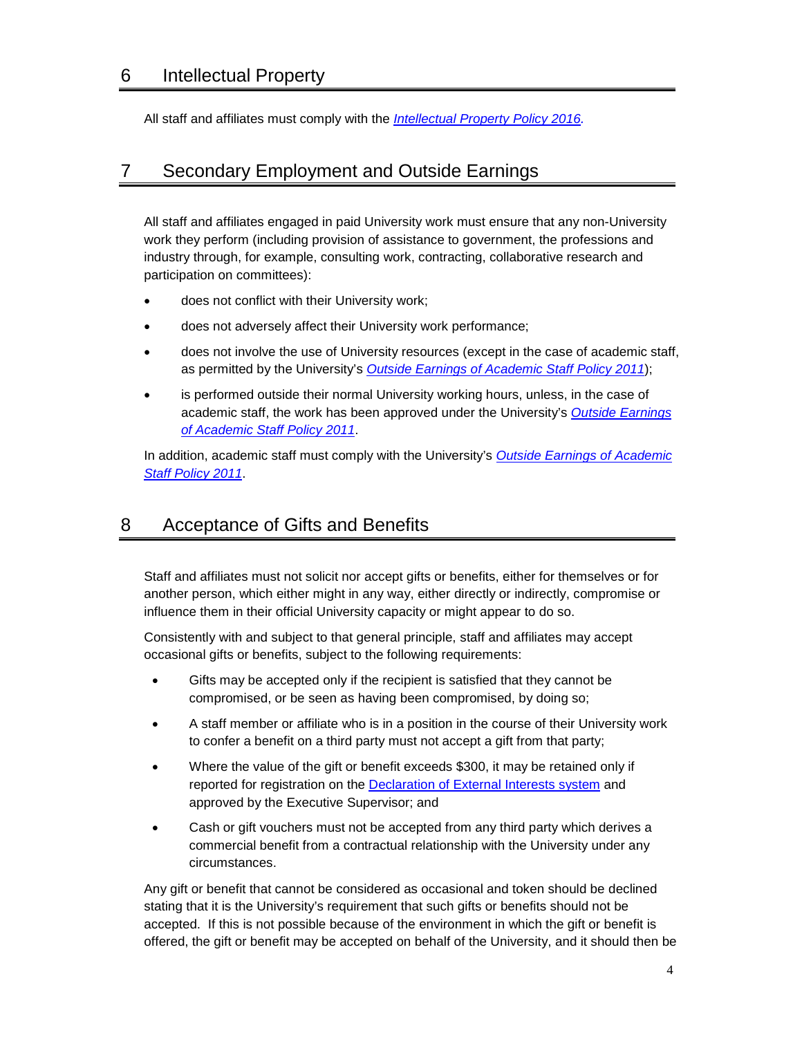#### 6 Intellectual Property

All staff and affiliates must comply with the *Intellectual Property Policy 2016.*

#### 7 Secondary Employment and Outside Earnings

All staff and affiliates engaged in paid University work must ensure that any non-University work they perform (including provision of assistance to government, the professions and industry through, for example, consulting work, contracting, collaborative research and participation on committees):

- does not conflict with their University work;
- does not adversely affect their University work performance;
- does not involve the use of University resources (except in the case of academic staff, as permitted by the University's *Outside Earnings of Academic Staff Policy 2011*);
- is performed outside their normal University working hours, unless, in the case of academic staff, the work has been approved under the University's *Outside Earnings of Academic Staff Policy 2011*.

In addition, academic staff must comply with the University's *Outside Earnings of Academic Staff Policy 2011*.

## 8 Acceptance of Gifts and Benefits

Staff and affiliates must not solicit nor accept gifts or benefits, either for themselves or for another person, which either might in any way, either directly or indirectly, compromise or influence them in their official University capacity or might appear to do so.

Consistently with and subject to that general principle, staff and affiliates may accept occasional gifts or benefits, subject to the following requirements:

- Gifts may be accepted only if the recipient is satisfied that they cannot be compromised, or be seen as having been compromised, by doing so;
- A staff member or affiliate who is in a position in the course of their University work to confer a benefit on a third party must not accept a gift from that party;
- Where the value of the gift or benefit exceeds \$300, it may be retained only if reported for registration on the Declaration of External Interests system and approved by the Executive Supervisor; and
- Cash or gift vouchers must not be accepted from any third party which derives a commercial benefit from a contractual relationship with the University under any circumstances.

Any gift or benefit that cannot be considered as occasional and token should be declined stating that it is the University's requirement that such gifts or benefits should not be accepted. If this is not possible because of the environment in which the gift or benefit is offered, the gift or benefit may be accepted on behalf of the University, and it should then be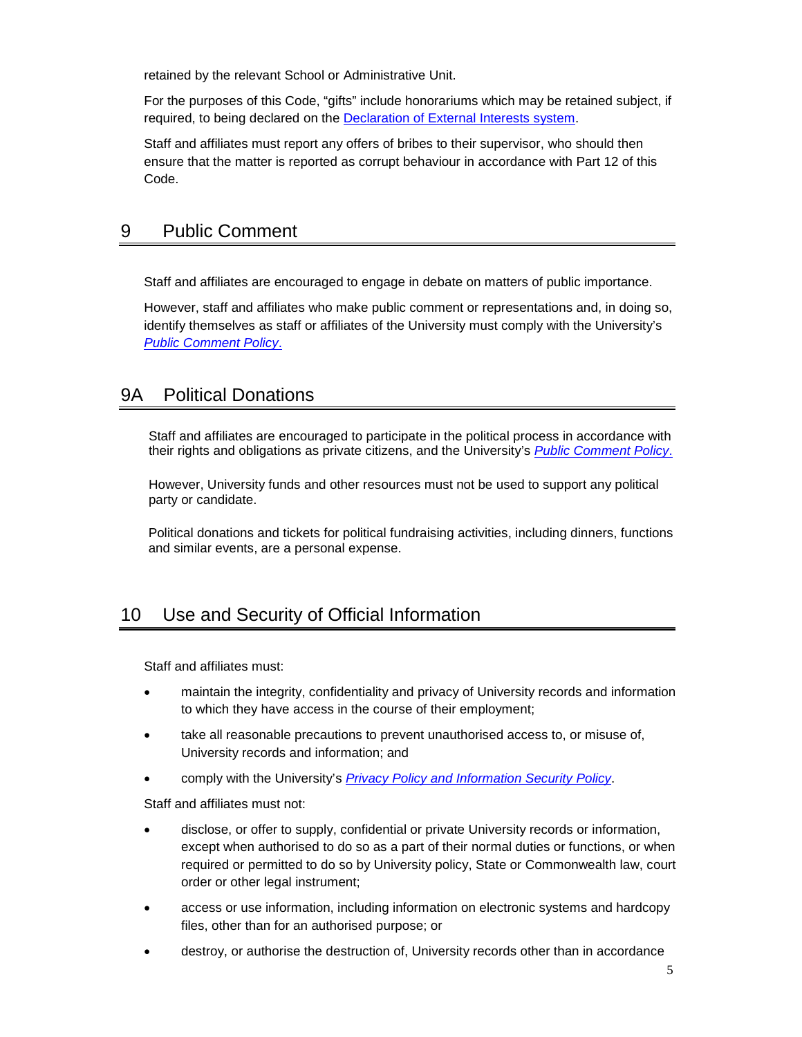retained by the relevant School or Administrative Unit.

For the purposes of this Code, "gifts" include honorariums which may be retained subject, if required, to being declared on the Declaration of External Interests system.

Staff and affiliates must report any offers of bribes to their supervisor, who should then ensure that the matter is reported as corrupt behaviour in accordance with Part 12 of this Code.

### 9 Public Comment

Staff and affiliates are encouraged to engage in debate on matters of public importance.

However, staff and affiliates who make public comment or representations and, in doing so, identify themselves as staff or affiliates of the University must comply with the University's *Public Comment Policy*.

#### 9A Political Donations

Staff and affiliates are encouraged to participate in the political process in accordance with their rights and obligations as private citizens, and the University's *Public Comment Policy*.

However, University funds and other resources must not be used to support any political party or candidate.

Political donations and tickets for political fundraising activities, including dinners, functions and similar events, are a personal expense.

# 10 Use and Security of Official Information

Staff and affiliates must:

- maintain the integrity, confidentiality and privacy of University records and information to which they have access in the course of their employment;
- take all reasonable precautions to prevent unauthorised access to, or misuse of, University records and information; and
- comply with the University's *Privacy Policy and Information Security Policy*.

Staff and affiliates must not:

- disclose, or offer to supply, confidential or private University records or information, except when authorised to do so as a part of their normal duties or functions, or when required or permitted to do so by University policy, State or Commonwealth law, court order or other legal instrument;
- access or use information, including information on electronic systems and hardcopy files, other than for an authorised purpose; or
- destroy, or authorise the destruction of, University records other than in accordance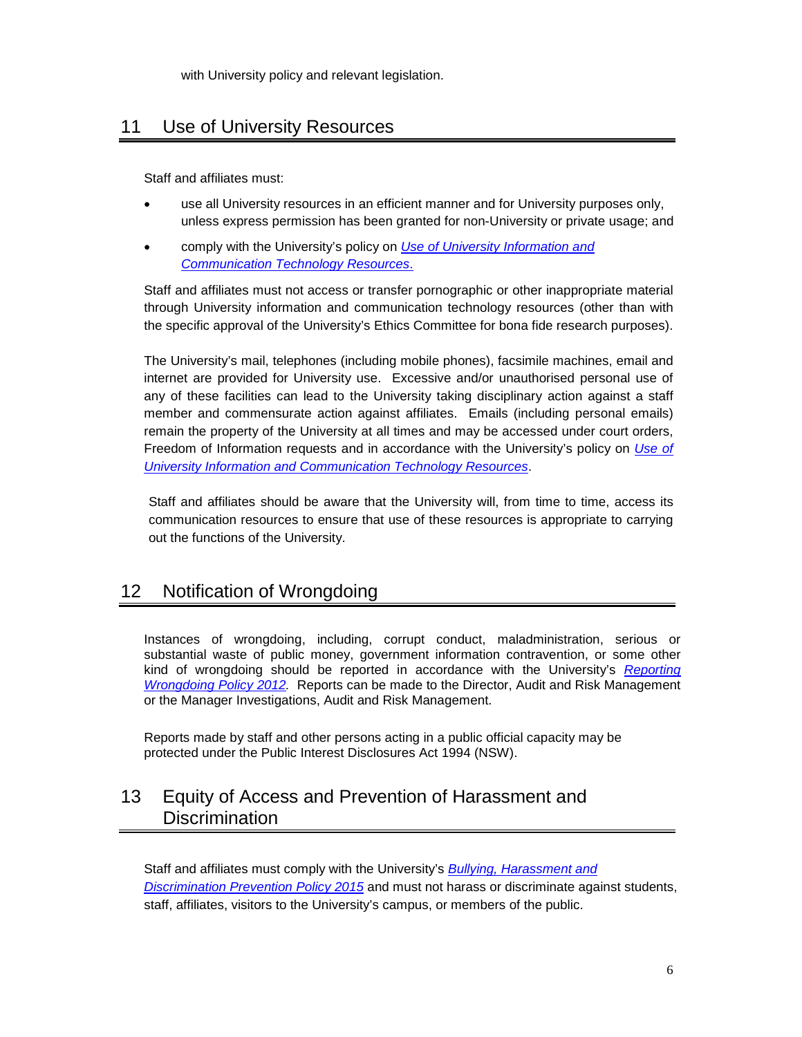with University policy and relevant legislation.

# 11 Use of University Resources

Staff and affiliates must:

- use all University resources in an efficient manner and for University purposes only, unless express permission has been granted for non-University or private usage; and
- comply with the University's policy on *Use of University Information and Communication Technology Resources*.

Staff and affiliates must not access or transfer pornographic or other inappropriate material through University information and communication technology resources (other than with the specific approval of the University's Ethics Committee for bona fide research purposes).

The University's mail, telephones (including mobile phones), facsimile machines, email and internet are provided for University use. Excessive and/or unauthorised personal use of any of these facilities can lead to the University taking disciplinary action against a staff member and commensurate action against affiliates. Emails (including personal emails) remain the property of the University at all times and may be accessed under court orders, Freedom of Information requests and in accordance with the University's policy on *Use of University Information and Communication Technology Resources*.

Staff and affiliates should be aware that the University will, from time to time, access its communication resources to ensure that use of these resources is appropriate to carrying out the functions of the University.

# 12 Notification of Wrongdoing

Instances of wrongdoing, including, corrupt conduct, maladministration, serious or substantial waste of public money, government information contravention, or some other kind of wrongdoing should be reported in accordance with the University's *Reporting Wrongdoing Policy 2012.* Reports can be made to the Director, Audit and Risk Management or the Manager Investigations, Audit and Risk Management.

Reports made by staff and other persons acting in a public official capacity may be protected under the Public Interest Disclosures Act 1994 (NSW).

# 13 Equity of Access and Prevention of Harassment and **Discrimination**

Staff and affiliates must comply with the University's *Bullying, Harassment and Discrimination Prevention Policy 2015* and must not harass or discriminate against students, staff, affiliates, visitors to the University's campus, or members of the public.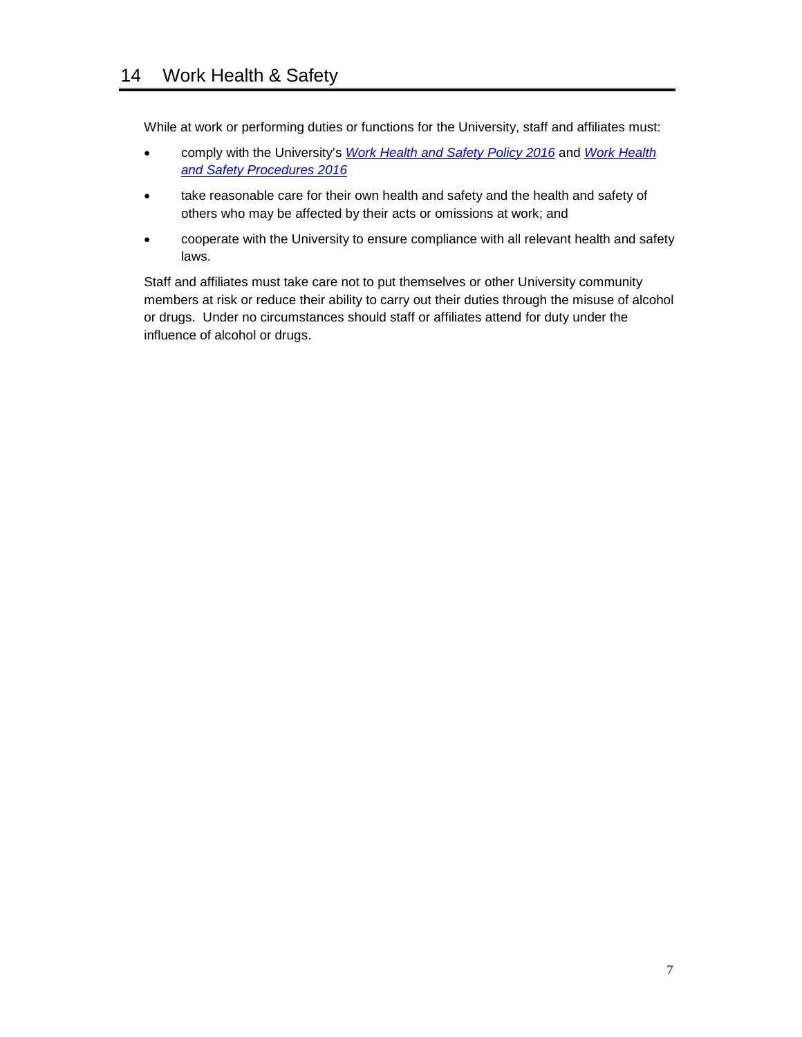While at work or performing duties or functions for the University, staff and affiliates must:

- comply with the University's *Work Health and Safety Policy 2016* and *Work Health and Safety Procedures 2016*
- take reasonable care for their own health and safety and the health and safety of others who may be affected by their acts or omissions at work; and
- cooperate with the University to ensure compliance with all relevant health and safety laws.

Staff and affiliates must take care not to put themselves or other University community members at risk or reduce their ability to carry out their duties through the misuse of alcohol or drugs. Under no circumstances should staff or affiliates attend for duty under the influence of alcohol or drugs.